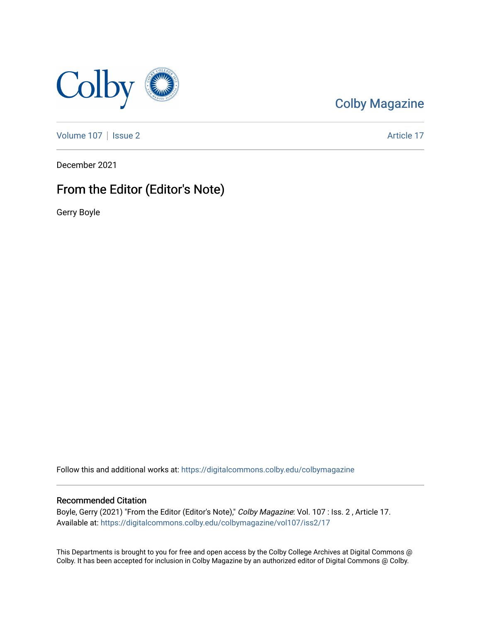

## [Colby Magazine](https://digitalcommons.colby.edu/colbymagazine)

[Volume 107](https://digitalcommons.colby.edu/colbymagazine/vol107) | [Issue 2](https://digitalcommons.colby.edu/colbymagazine/vol107/iss2) Article 17

December 2021

# From the Editor (Editor's Note)

Gerry Boyle

Follow this and additional works at: [https://digitalcommons.colby.edu/colbymagazine](https://digitalcommons.colby.edu/colbymagazine?utm_source=digitalcommons.colby.edu%2Fcolbymagazine%2Fvol107%2Fiss2%2F17&utm_medium=PDF&utm_campaign=PDFCoverPages)

#### Recommended Citation

Boyle, Gerry (2021) "From the Editor (Editor's Note)," Colby Magazine: Vol. 107 : Iss. 2 , Article 17. Available at: [https://digitalcommons.colby.edu/colbymagazine/vol107/iss2/17](https://digitalcommons.colby.edu/colbymagazine/vol107/iss2/17?utm_source=digitalcommons.colby.edu%2Fcolbymagazine%2Fvol107%2Fiss2%2F17&utm_medium=PDF&utm_campaign=PDFCoverPages)

This Departments is brought to you for free and open access by the Colby College Archives at Digital Commons @ Colby. It has been accepted for inclusion in Colby Magazine by an authorized editor of Digital Commons @ Colby.